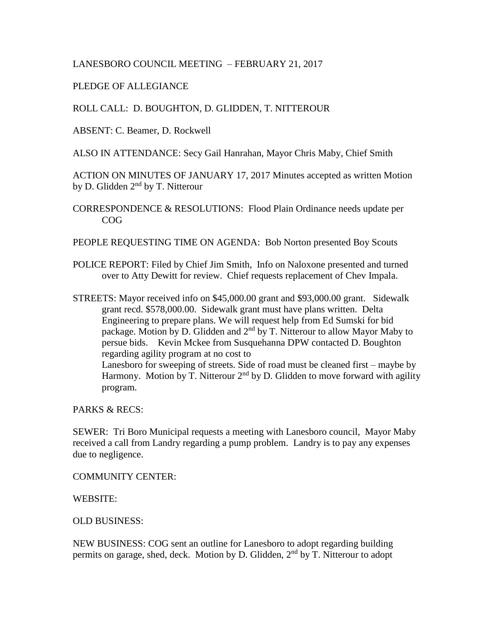## LANESBORO COUNCIL MEETING – FEBRUARY 21, 2017

## PLEDGE OF ALLEGIANCE

ROLL CALL: D. BOUGHTON, D. GLIDDEN, T. NITTEROUR

ABSENT: C. Beamer, D. Rockwell

ALSO IN ATTENDANCE: Secy Gail Hanrahan, Mayor Chris Maby, Chief Smith

ACTION ON MINUTES OF JANUARY 17, 2017 Minutes accepted as written Motion by D. Glidden  $2<sup>nd</sup>$  by T. Nitterour

CORRESPONDENCE & RESOLUTIONS: Flood Plain Ordinance needs update per COG

PEOPLE REQUESTING TIME ON AGENDA: Bob Norton presented Boy Scouts

- POLICE REPORT: Filed by Chief Jim Smith, Info on Naloxone presented and turned over to Atty Dewitt for review. Chief requests replacement of Chev Impala.
- STREETS: Mayor received info on \$45,000.00 grant and \$93,000.00 grant. Sidewalk grant recd. \$578,000.00. Sidewalk grant must have plans written. Delta Engineering to prepare plans. We will request help from Ed Sumski for bid package. Motion by D. Glidden and  $2<sup>nd</sup>$  by T. Nitterour to allow Mayor Maby to persue bids. Kevin Mckee from Susquehanna DPW contacted D. Boughton regarding agility program at no cost to Lanesboro for sweeping of streets. Side of road must be cleaned first – maybe by Harmony. Motion by T. Nitterour  $2<sup>nd</sup>$  by D. Glidden to move forward with agility program.

PARKS & RECS:

SEWER: Tri Boro Municipal requests a meeting with Lanesboro council, Mayor Maby received a call from Landry regarding a pump problem. Landry is to pay any expenses due to negligence.

COMMUNITY CENTER:

WEBSITE:

OLD BUSINESS:

NEW BUSINESS: COG sent an outline for Lanesboro to adopt regarding building permits on garage, shed, deck. Motion by D. Glidden, 2<sup>nd</sup> by T. Nitterour to adopt